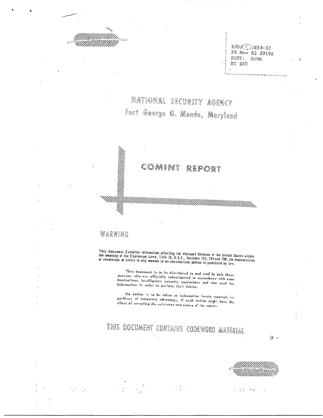$2/0$ / $\circ$ )/R58-63<br>26 Nov 63 20192 DIST: O/WA ST 250

 $\sim$ 

NATIONAL SECURITY AGENCY Fort George G. Meade, Maryland

#### COMINE REPORT

## WARNING

This Document Contains information affecting the National Defense of the United States within<br>the meaning of the Espionage Laws, Title 18, U.S.C., Sections 793, 794 and 798, the transmission<br>or revelation of which in any m

This document is to be distributed to and read by only those<br>porsons who are officially inductrinated in accordance with comunducations integrated acculity definitions and mp used the information in order to perform their duties.

No action is to be taken on information herein reported, regerdloss of temporary advantage, if such action might have the garaces of rempetery correspondence and correct angle.<br>Gifect of revealing the existence and nature of the source.

# THIS DOCUMENT CONTAINS CODEWORD MATERIAL

 $\mathcal{L}$ 

 $\sum_{i=1}^{n}$ 



 $\sim 10$  $\sim 10^{11}$  km s  $^{-1}$